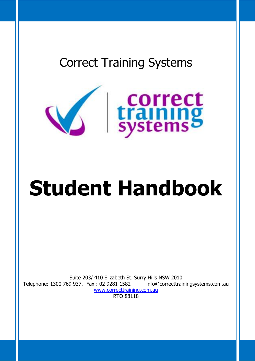## Correct Training Systems



# **Student Handbook**

Suite 203/ 410 Elizabeth St. Surry Hills NSW 2010 Telephone: 1300 769 937. Fax : 02 9281 1582 info@correcttrainingsystems.com.au [www.correcttraining.com.au](http://www.correcttraining.com.au/) RTO 88118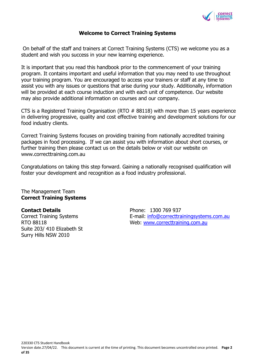

#### **Welcome to Correct Training Systems**

On behalf of the staff and trainers at Correct Training Systems (CTS) we welcome you as a student and wish you success in your new learning experience.

It is important that you read this handbook prior to the commencement of your training program. It contains important and useful information that you may need to use throughout your training program. You are encouraged to access your trainers or staff at any time to assist you with any issues or questions that arise during your study. Additionally, information will be provided at each course induction and with each unit of competence. Our website may also provide additional information on courses and our company.

CTS is a Registered Training Organisation (RTO # 88118) with more than 15 years experience in delivering progressive, quality and cost effective training and development solutions for our food industry clients.

Correct Training Systems focuses on providing training from nationally accredited training packages in food processing. If we can assist you with information about short courses, or further training then please contact us on the details below or visit our website on www.correcttraining.com.au

Congratulations on taking this step forward. Gaining a nationally recognised qualification will foster your development and recognition as a food industry professional.

The Management Team **Correct Training Systems**

#### **Contact Details**

Correct Training Systems RTO 88118 Suite 203/ 410 Elizabeth St Surry Hills NSW 2010

Phone: 1300 769 937 E-mail: [info@correcttrainingsystems.com.au](mailto:info@correcttrainingsystems.com.au) Web: [www.correcttraining.com.au](http://www.correcttraining.com.au/)

220330 CTS Student Handbook

Version date.27/04/22. This document is current at the time of printing. This document becomes uncontrolled once printed. **Page 2 of 35**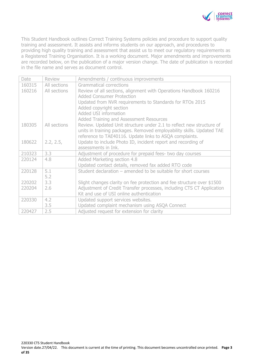

This Student Handbook outlines Correct Training Systems policies and procedure to support quality training and assessment. It assists and informs students on our approach, and procedures to providing high quality training and assessment that assist us to meet our regulatory requirements as a Registered Training Organisation. It is a working document. Major amendments and improvements are recorded below, on the publication of a major version change. The date of publication is recorded in the file name and serves as document control.

| Date   | <b>Review</b>                                                             | Amendments / continuous improvements                                   |  |
|--------|---------------------------------------------------------------------------|------------------------------------------------------------------------|--|
| 160315 | All sections                                                              | Grammatical corrections                                                |  |
| 160216 | All sections                                                              | Review of all sections, alignment with Operations Handbook 160216      |  |
|        |                                                                           | <b>Added Consumer Protection</b>                                       |  |
|        |                                                                           | Updated from NVR requirements to Standards for RTOs 2015               |  |
|        |                                                                           | Added copyright section                                                |  |
|        |                                                                           | <b>Added USI information</b>                                           |  |
|        |                                                                           | Added Training and Assessment Resources                                |  |
| 180305 | All sections                                                              | Review. Updated Unit structure under 2.1 to reflect new structure of   |  |
|        |                                                                           | units in training packages. Removed employability skills. Updated TAE  |  |
|        |                                                                           | reference to TAE40116. Update links to ASQA complaints.                |  |
| 180622 | Update to include Photo ID, incident report and recording of<br>2.2, 2.5, |                                                                        |  |
|        |                                                                           | assessments in Ink.                                                    |  |
| 210323 | 3.3                                                                       | Adjustment of procedure for prepaid fees- two day courses              |  |
| 220124 | 4.8                                                                       | Added Marketing section 4.8                                            |  |
|        |                                                                           | Updated contact details, removed fax added RTO code                    |  |
| 220128 | 5.1                                                                       | Student declaration – amended to be suitable for short courses         |  |
|        | 5.2                                                                       |                                                                        |  |
| 220202 | 3.3                                                                       | Slight changes clarity on fee protection and fee structure over \$1500 |  |
| 220204 | 2.6                                                                       | Adjustment of Credit Transfer processes, including CTS CT Application  |  |
|        |                                                                           | Kit and use of USI online authentication                               |  |
| 220330 | 4.2                                                                       | Updated support services websites.                                     |  |
|        | 3.5                                                                       | Updated complaint mechanism using ASQA Connect                         |  |
| 220427 | 2.5                                                                       | Adjusted request for extension for clarity                             |  |

Version date.27/04/22. This document is current at the time of printing. This document becomes uncontrolled once printed. **Page 3 of 35**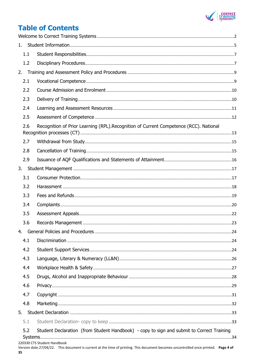

## **Table of Contents**<br>Welcome to Correct Training Syste

| 1. |     |                                                                                                                                                                    |  |
|----|-----|--------------------------------------------------------------------------------------------------------------------------------------------------------------------|--|
|    | 1.1 |                                                                                                                                                                    |  |
|    | 1.2 |                                                                                                                                                                    |  |
| 2. |     |                                                                                                                                                                    |  |
|    | 2.1 |                                                                                                                                                                    |  |
|    | 2.2 |                                                                                                                                                                    |  |
|    | 2.3 |                                                                                                                                                                    |  |
|    | 2.4 |                                                                                                                                                                    |  |
|    | 2.5 |                                                                                                                                                                    |  |
|    | 2.6 | Recognition of Prior Learning (RPL). Recognition of Current Competence (RCC). National                                                                             |  |
|    | 2.7 |                                                                                                                                                                    |  |
|    | 2.8 |                                                                                                                                                                    |  |
|    | 2.9 |                                                                                                                                                                    |  |
| 3. |     |                                                                                                                                                                    |  |
|    | 3.1 |                                                                                                                                                                    |  |
|    | 3.2 |                                                                                                                                                                    |  |
|    | 3.3 |                                                                                                                                                                    |  |
|    | 3.4 |                                                                                                                                                                    |  |
|    | 3.5 |                                                                                                                                                                    |  |
|    | 3.6 |                                                                                                                                                                    |  |
| 4. |     |                                                                                                                                                                    |  |
|    | 4.1 |                                                                                                                                                                    |  |
|    | 4.2 |                                                                                                                                                                    |  |
|    | 4.3 |                                                                                                                                                                    |  |
|    | 4.4 |                                                                                                                                                                    |  |
|    | 4.5 |                                                                                                                                                                    |  |
|    | 4.6 |                                                                                                                                                                    |  |
|    | 4.7 |                                                                                                                                                                    |  |
|    | 4.8 |                                                                                                                                                                    |  |
| 5. |     |                                                                                                                                                                    |  |
|    | 5.1 |                                                                                                                                                                    |  |
|    | 5.2 | Student Declaration (from Student Handbook) - copy to sign and submit to Correct Training                                                                          |  |
|    |     | 220330 CTS Student Handbook<br>Version date.27/04/22. This document is current at the time of printing. This document becomes uncontrolled once printed. Page 4 of |  |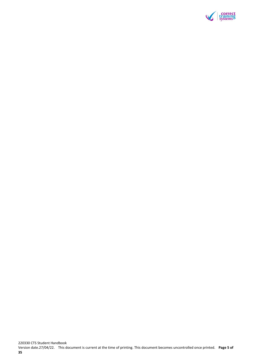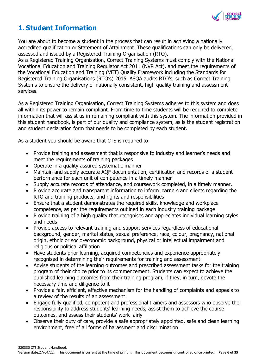

## **1. Student Information**

You are about to become a student in the process that can result in achieving a nationally accredited qualification or Statement of Attainment. These qualifications can only be delivered, assessed and issued by a Registered Training Organisation (RTO).

As a Registered Training Organisation, Correct Training Systems must comply with the National Vocational Education and Training Regulator Act 2011 (NVR Act), and meet the requirements of the Vocational Education and Training (VET) Quality Framework including the Standards for Registered Training Organisations (RTO's) 2015. ASQA audits RTO's, such as Correct Training Systems to ensure the delivery of nationally consistent, high quality training and assessment services.

As a Registered Training Organisation, Correct Training Systems adheres to this system and does all within its power to remain compliant. From time to time students will be required to complete information that will assist us in remaining compliant with this system. The information provided in this student handbook, is part of our quality and compliance system, as is the student registration and student declaration form that needs to be completed by each student.

As a student you should be aware that CTS is required to:

- Provide training and assessment that is responsive to industry and learner's needs and meet the requirements of training packages
- Operate in a quality assured systematic manner
- Maintain and supply accurate AQF documentation, certification and records of a student performance for each unit of competence in a timely manner
- Supply accurate records of attendance, and coursework completed, in a timely manner.
- Provide accurate and transparent information to inform learners and clients regarding the RTO and training products, and rights and responsibilities
- Ensure that a student demonstrates the required skills, knowledge and workplace competence, as per the requirements outlined in each industry training package
- Provide training of a high quality that recognises and appreciates individual learning styles and needs
- Provide access to relevant training and support services regardless of educational background, gender, marital status, sexual preference, race, colour, pregnancy, national origin, ethnic or socio-economic background, physical or intellectual impairment and religious or political affiliation
- Have students prior learning, acquired competencies and experience appropriately recognised in determining their requirements for training and assessment
- Advise students of the learning outcomes and prescribed assessment tasks for the training program of their choice prior to its commencement. Students can expect to achieve the published learning outcomes from their training program, if they, in turn, devote the necessary time and diligence to it
- Provide a fair, efficient, effective mechanism for the handling of complaints and appeals to a review of the results of an assessment
- Engage fully qualified, competent and professional trainers and assessors who observe their responsibility to address students' learning needs, assist them to achieve the course outcomes, and assess their students' work fairly
- Observe their duty of care, provide a safe appropriately appointed, safe and clean learning environment, free of all forms of harassment and discrimination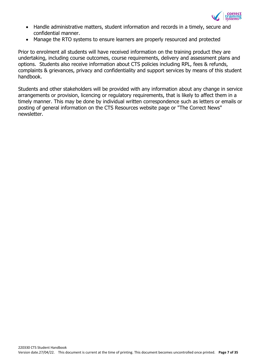

- Handle administrative matters, student information and records in a timely, secure and confidential manner.
- Manage the RTO systems to ensure learners are properly resourced and protected

Prior to enrolment all students will have received information on the training product they are undertaking, including course outcomes, course requirements, delivery and assessment plans and options. Students also receive information about CTS policies including RPL, fees & refunds, complaints & grievances, privacy and confidentiality and support services by means of this student handbook.

Students and other stakeholders will be provided with any information about any change in service arrangements or provision, licencing or regulatory requirements, that is likely to affect them in a timely manner. This may be done by individual written correspondence such as letters or emails or posting of general information on the CTS Resources website page or "The Correct News" newsletter.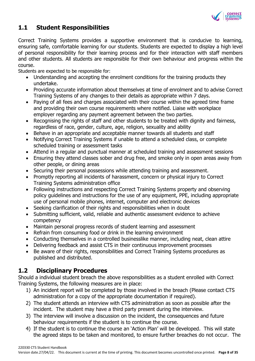

## **1.1 Student Responsibilities**

Correct Training Systems provides a supportive environment that is conducive to learning, ensuring safe, comfortable learning for our students. Students are expected to display a high level of personal responsibility for their learning process and for their interaction with staff members and other students. All students are responsible for their own behaviour and progress within the course.

Students are expected to be responsible for:

- Understanding and accepting the enrolment conditions for the training products they undertake.
- Providing accurate information about themselves at time of enrolment and to advise Correct Training Systems of any changes to their details as appropriate within 7 days.
- Paying of all fees and charges associated with their course within the agreed time frame and providing their own course requirements where notified. Liaise with workplace employer regarding any payment agreement between the two parties.
- Recognising the rights of staff and other students to be treated with dignity and fairness, regardless of race, gender, culture, age, religion, sexuality and ability
- Behave in an appropriate and acceptable manner towards all students and staff
- Notifying Correct Training Systems if unable to attend a scheduled class, or complete scheduled training or assessment tasks
- Attend in a regular and punctual manner at scheduled training and assessment sessions
- Ensuring they attend classes sober and drug free, and smoke only in open areas away from other people, or dining areas
- Securing their personal possessions while attending training and assessment.
- Promptly reporting all incidents of harassment, concern or physical injury to Correct Training Systems administration office
- Following instructions and respecting Correct Training Systems property and observing policy guidelines and instructions for the use of any equipment, PPE, including appropriate use of personal mobile phones, internet, computer and electronic devices
- Seeking clarification of their rights and responsibilities when in doubt
- Submitting sufficient, valid, reliable and authentic assessment evidence to achieve competency
- Maintain personal progress records of student learning and assessment
- Refrain from consuming food or drink in the learning environment
- Conducting themselves in a controlled businesslike manner, including neat, clean attire
- Delivering feedback and assist CTS in their continuous improvement processes
- Be aware of their rights, responsibilities and Correct Training Systems procedures as published and distributed.

## **1.2 Disciplinary Procedures**

Should a individual student breach the above responsibilities as a student enrolled with Correct Training Systems, the following measures are in place:

- 1) An incident report will be completed by those involved in the breach (Please contact CTS administration for a copy of the appropriate documentation if required).
- 2) The student attends an interview with CTS administration as soon as possible after the incident. The student may have a third party present during the interview.
- 3) The interview will involve a discussion on the incident, the consequences and future behaviour requirements if the student is to continue the course.
- 4) If the student is to continue the course an 'Action Plan' will be developed. This will state the agreed steps to be taken and monitored, to ensure further breaches do not occur. The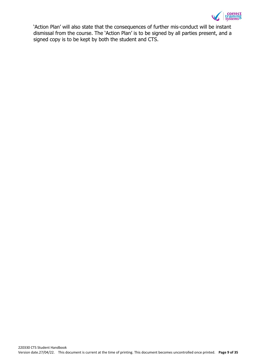

'Action Plan' will also state that the consequences of further mis-conduct will be instant dismissal from the course. The 'Action Plan' is to be signed by all parties present, and a signed copy is to be kept by both the student and CTS.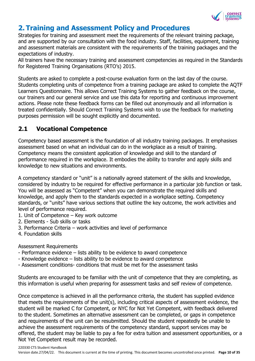

## **2. Training and Assessment Policy and Procedures**

Strategies for training and assessment meet the requirements of the relevant training package, and are supported by our consultation with the food industry. Staff, facilities, equipment, training and assessment materials are consistent with the requirements of the training packages and the expectations of industry.

All trainers have the necessary training and assessment competencies as required in the Standards for Registered Training Organisations (RTO's) 2015.

Students are asked to complete a post-course evaluation form on the last day of the course. Students completing units of competence from a training package are asked to complete the AQTF Learners Questionnaire. This allows Correct Training Systems to gather feedback on the course, our trainers and our general service and use this data for reporting and continuous improvement actions. Please note these feedback forms can be filled out anonymously and all information is treated confidentially. Should Correct Training Systems wish to use the feedback for marketing purposes permission will be sought explicitly and documented.

## **2.1 Vocational Competence**

Competency based assessment is the foundation of all industry training packages. It emphasises assessment based on what an individual can do in the workplace as a result of training. Competency means the consistent application of knowledge and skill to the standard of performance required in the workplace. It embodies the ability to transfer and apply skills and knowledge to new situations and environments.

A competency standard or "unit" is a nationally agreed statement of the skills and knowledge, considered by industry to be required for effective performance in a particular job function or task. You will be assessed as "Competent" when you can demonstrate the required skills and knowledge, and apply them to the standards expected in a workplace setting. Competency standards, or "units" have various sections that outline the key outcome, the work activities and level of performance required.

- 1. Unit of Competence Key work outcome
- 2. Elements Sub skills or tasks
- 3. Performance Criteria work activities and level of performance
- 4. Foundation skills

#### Assessment Requirements

- Performance evidence lists ability to be evidence to award competence
- Knowledge evidence lists ability to be evidence to award competence
- Assessment conditions- conditions that must be met for the assessment tasks

Students are encouraged to be familiar with the unit of competence that they are completing, as this information is useful when preparing for assessment tasks and self review of competence.

Once competence is achieved in all the performance criteria, the student has supplied evidence that meets the requirements of the unit(s), including critical aspects of assessment evidence, the student will be marked C for Competent, or NYC for Not Yet Competent, with feedback delivered to the student. Sometimes an alternative assessment can be completed, or gaps in competence and requirements of the unit can be resubmitted. Should the student repeatedly be unable to achieve the assessment requirements of the competency standard, support services may be offered, the student may be liable to pay a fee for extra tuition and assessment opportunities, or a Not Yet Competent result may be recorded.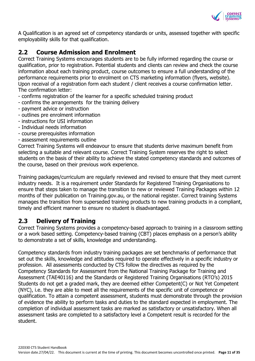

A Qualification is an agreed set of competency standards or units, assessed together with specific employability skills for that qualification.

## **2.2 Course Admission and Enrolment**

Correct Training Systems encourages students are to be fully informed regarding the course or qualification, prior to registration. Potential students and clients can review and check the course information about each training product, course outcomes to ensure a full understanding of the performance requirements prior to enrolment on CTS marketing information (flyers, website). Upon receival of a registration form each student / client receives a course confirmation letter. The confirmation letter:

- confirms registration of the learner for a specific scheduled training product
- confirms the arrangements for the training delivery
- payment advice or instruction
- outlines pre enrolment information
- instructions for USI information
- Individual needs information
- course prerequisites information
- assessment requirements outline

Correct Training Systems will endeavour to ensure that students derive maximum benefit from selecting a suitable and relevant course. Correct Training System reserves the right to select students on the basis of their ability to achieve the stated competency standards and outcomes of the course, based on their previous work experience.

Training packages/curriculum are regularly reviewed and revised to ensure that they meet current industry needs. It is a requirement under Standards for Registered Training Organisations to ensure that steps taken to manage the transition to new or reviewed Training Packages within 12 months of their publication on Training.gov.au, or the national register. Correct training Systems manages the transition from superseded training products to new training products in a compliant, timely and efficient manner to ensure no student is disadvantaged.

## **2.3 Delivery of Training**

Correct Training Systems provides a competency-based approach to training in a classroom setting or a work based setting. Competency-based training (CBT) places emphasis on a person's ability to demonstrate a set of skills, knowledge and understanding.

Competency standards from industry training packages are set benchmarks of performance that set out the skills, knowledge and attitudes required to operate effectively in a specific industry or profession. All assessments conducted by CTS follow the directives as required by the Competency Standards for Assessment from the National Training Package for Training and Assessment (TAE40116) and the Standards or Registered Training Organisations (RTO's) 2015 Students do not get a graded mark, they are deemed either Competent(C) or Not Yet Competent (NYC), i.e. they are able to meet all the requirements of the specific unit of competence or qualification. To attain a competent assessment, students must demonstrate through the provision of evidence the ability to perform tasks and duties to the standard expected in employment. The completion of individual assessment tasks are marked as satisfactory or unsatisfactory. When all assessment tasks are completed to a satisfactory level a Competent result is recorded for the student.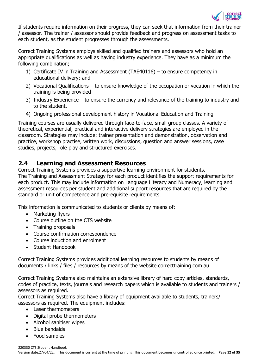

If students require information on their progress, they can seek that information from their trainer / assessor. The trainer / assessor should provide feedback and progress on assessment tasks to each student, as the student progresses through the assessments.

Correct Training Systems employs skilled and qualified trainers and assessors who hold an appropriate qualifications as well as having industry experience. They have as a minimum the following combination;

- 1) Certificate IV in Training and Assessment (TAE40116) to ensure competency in educational delivery; and
- 2) Vocational Qualifications to ensure knowledge of the occupation or vocation in which the training is being provided
- 3) Industry Experience to ensure the currency and relevance of the training to industry and to the student.
- 4) Ongoing professional development history in Vocational Education and Training

Training courses are usually delivered through face-to-face, small group classes. A variety of theoretical, experiential, practical and interactive delivery strategies are employed in the classroom. Strategies may include: trainer presentation and demonstration, observation and practice, workshop practise, written work, discussions, question and answer sessions, case studies, projects, role play and structured exercises.

## **2.4 Learning and Assessment Resources**

Correct Training Systems provides a supportive learning environment for students. The Training and Assessment Strategy for each product identifies the support requirements for each product. This may include information on Language Literacy and Numeracy, learning and assessment resources per student and additional support resources that are required by the standard or unit of competence and prerequisite requirements.

This information is communicated to students or clients by means of;

- Marketing flyers
- Course outline on the CTS website
- Training proposals
- Course confirmation correspondence
- Course induction and enrolment
- Student Handbook

Correct Training Systems provides additional learning resources to students by means of documents / links / files / resources by means of the website correcttraining.com.au

Correct Training Systems also maintains an extensive library of hard copy articles, standards, codes of practice, texts, journals and research papers which is available to students and trainers / assessors as required.

Correct Training Systems also have a library of equipment available to students, trainers/ assessors as required. The equipment includes:

- Laser thermometers
- Digital probe thermometers
- Alcohol sanitiser wipes
- Blue bandaids
- Food samples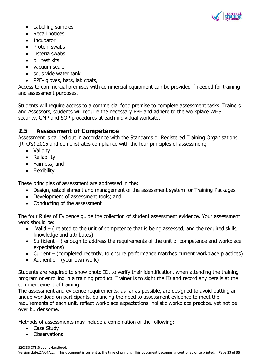

- Labelling samples
- Recall notices
- Incubator
- Protein swabs
- Listeria swabs
- pH test kits
- vacuum sealer
- sous vide water tank
- PPE- gloves, hats, lab coats,

Access to commercial premises with commercial equipment can be provided if needed for training and assessment purposes.

Students will require access to a commercial food premise to complete assessment tasks. Trainers and Assessors, students will require the necessary PPE and adhere to the workplace WHS, security, GMP and SOP procedures at each individual worksite.

## **2.5 Assessment of Competence**

Assessment is carried out in accordance with the Standards or Registered Training Organisations (RTO's) 2015 and demonstrates compliance with the four principles of assessment;

- Validity
- Reliability
- Fairness; and
- Flexibility

These principles of assessment are addressed in the;

- Design, establishment and management of the assessment system for Training Packages
- Development of assessment tools; and
- Conducting of the assessment

The four Rules of Evidence guide the collection of student assessment evidence. Your assessment work should be:

- Valid ( related to the unit of competence that is being assessed, and the required skills, knowledge and attributes)
- Sufficient (enough to address the requirements of the unit of competence and workplace expectations)
- Current (completed recently, to ensure performance matches current workplace practices)
- Authentic (your own work)

Students are required to show photo ID, to verify their identification, when attending the training program or enrolling in a training product. Trainer is to sight the ID and record any details at the commencement of training.

The assessment and evidence requirements, as far as possible, are designed to avoid putting an undue workload on participants, balancing the need to assessment evidence to meet the requirements of each unit, reflect workplace expectations, holistic workplace practice, yet not be over burdensome.

Methods of assessments may include a combination of the following:

- Case Study
- Observations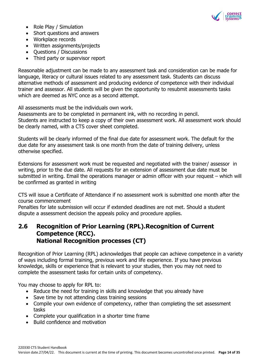

- Role Play / Simulation
- Short questions and answers
- Workplace records
- Written assignments/projects
- Questions / Discussions
- Third party or supervisor report

Reasonable adjustment can be made to any assessment task and consideration can be made for language, literacy or cultural issues related to any assessment task. Students can discuss alternative methods of assessment and producing evidence of competence with their individual trainer and assessor. All students will be given the opportunity to resubmit assessments tasks which are deemed as NYC once as a second attempt.

All assessments must be the individuals own work.

Assessments are to be completed in permanent ink, with no recording in pencil. Students are instructed to keep a copy of their own assessment work. All assessment work should be clearly named, with a CTS cover sheet completed.

Students will be clearly informed of the final due date for assessment work. The default for the due date for any assessment task is one month from the date of training delivery, unless otherwise specified.

Extensions for assessment work must be requested and negotiated with the trainer/ assessor in writing, prior to the due date. All requests for an extension of assessment due date must be submitted in writing. Email the operations manager or admin officer with your request – which will be confirmed as granted in writing

CTS will issue a Certificate of Attendance if no assessment work is submitted one month after the course commencement

Penalties for late submission will occur if extended deadlines are not met. Should a student dispute a assessment decision the appeals policy and procedure applies.

### **2.6 Recognition of Prior Learning (RPL).Recognition of Current Competence (RCC). National Recognition processes (CT)**

Recognition of Prior Learning (RPL) acknowledges that people can achieve competence in a variety of ways including formal training, previous work and life experience. If you have previous knowledge, skills or experience that is relevant to your studies, then you may not need to complete the assessment tasks for certain units of competency.

You may choose to apply for RPL to:

- Reduce the need for training in skills and knowledge that you already have
- Save time by not attending class training sessions
- Compile your own evidence of competency, rather than completing the set assessment tasks
- Complete your qualification in a shorter time frame
- Build confidence and motivation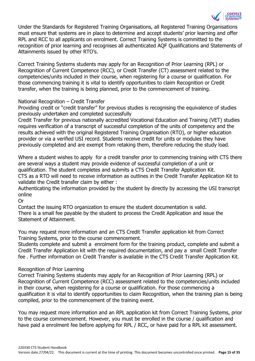

Under the Standards for Registered Training Organisations, all Registered Training Organisations must ensure that systems are in place to determine and accept students' prior learning and offer RPL and RCC to all applicants on enrolment. Correct Training Systems is committed to the recognition of prior learning and recognises all authenticated AQF Qualifications and Statements of Attainments issued by other RTO's.

Correct Training Systems students may apply for an Recognition of Prior Learning (RPL) or Recognition of Current Competence (RCC), or Credit Transfer (CT) assessment related to the competencies/units included in their course, when registering for a course or qualification. For those commencing training it is vital to identify opportunities to claim Recognition or Credit transfer, when the training is being planned, prior to the commencement of training.

National Recognition – Credit Transfer

Providing credit or "credit transfer" for previous studies is recognising the equivalence of studies previously undertaken and completed successfully

Credit Transfer for previous nationally accredited Vocational Education and Training (VET) studies requires verification of a transcript of successful completion of the units of competency and the results achieved with the original Registered Training Organisation (RTO), or higher education provider or via a verified USI record. Students receive credit for units or modules they have previously completed and are exempt from retaking them, therefore reducing the study load.

Where a student wishes to apply for a credit transfer prior to commencing training with CTS there are several ways a student may provide evidence of successful completion of a unit or qualification. The student completes and submits a CTS Credit Transfer Application Kit. CTS as a RTO will need to receive information as outlines in the Credit Transfer Application Kit to validate the Credit transfer claim by either :

Authenticating the information provided by the student by directly by accessing the USI transcript online

Or

Contact the issuing RTO organization to ensure the student documentation is valid. There is a small fee payable by the student to process the Credit Application and issue the Statement of Attainment.

You may request more information and an CTS Credit Transfer application kit from Correct Training Systems, prior to the course commencement.

Students complete and submit a enrolment form for the training product, complete and submit a Credit Transfer Application kit with the required documentation, and pay a small Credit Transfer fee . Further information on Credit Transfer is available in the CTS Credit Transfer Application Kit.

#### Recognition of Prior Learning

Correct Training Systems students may apply for an Recognition of Prior Learning (RPL) or Recognition of Current Competence (RCC) assessment related to the competencies/units included in their course, when registering for a course or qualification. For those commencing a qualification it is vital to identify opportunities to claim Recognition, when the training plan is being compiled, prior to the commencement of the training event.

You may request more information and an RPL application kit from Correct Training Systems, prior to the course commencement. However, you must be enrolled in the course / qualification and have paid a enrolment fee before applying for RPL / RCC, or have paid for a RPL kit assessment.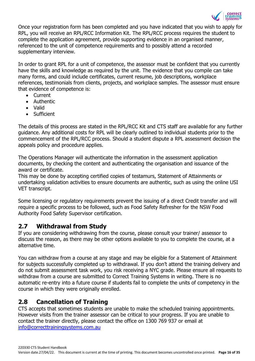

Once your registration form has been completed and you have indicated that you wish to apply for RPL, you will receive an RPL/RCC Information Kit. The RPL/RCC process requires the student to complete the application agreement, provide supporting evidence in an organised manner, referenced to the unit of competence requirements and to possibly attend a recorded supplementary interview.

In order to grant RPL for a unit of competence, the assessor must be confident that you currently have the skills and knowledge as required by the unit. The evidence that you compile can take many forms, and could include certificates, current resume, job descriptions, workplace references, testimonials from clients, projects, and workplace samples. The assessor must ensure that evidence of competence is:

- Current
- Authentic
- Valid
- Sufficient

The details of this process are stated in the RPL/RCC Kit and CTS staff are available for any further guidance. Any additional costs for RPL will be clearly outlined to individual students prior to the commencement of the RPL/RCC process. Should a student dispute a RPL assessment decision the appeals policy and procedure applies.

The Operations Manager will authenticate the information in the assessment application documents, by checking the content and authenticating the organisation and issuance of the award or certificate.

This may be done by accepting certified copies of testamurs, Statement of Attainments or undertaking validation activities to ensure documents are authentic, such as using the online USI VET transcript.

Some licensing or regulatory requirements prevent the issuing of a direct Credit transfer and will require a specific process to be followed, such as Food Safety Refresher for the NSW Food Authority Food Safety Supervisor certification.

## **2.7 Withdrawal from Study**

If you are considering withdrawing from the course, please consult your trainer/ assessor to discuss the reason, as there may be other options available to you to complete the course, at a alternative time.

You can withdraw from a course at any stage and may be eligible for a Statement of Attainment for subjects successfully completed up to withdrawal. If you don't attend the training delivery and do not submit assessment task work, you risk receiving a NYC grade. Please ensure all requests to withdraw from a course are submitted to Correct Training Systems in writing. There is no automatic re-entry into a future course if students fail to complete the units of competency in the course in which they were originally enrolled.

## **2.8 Cancellation of Training**

CTS accepts that sometimes students are unable to make the scheduled training appointments. However visits from the trainer assessor can be critical to your progress. If you are unable to contact the trainer directly, please contact the office on 1300 769 937 or email at [info@correcttrainingsystems.com.au](mailto:info@correcttrainingsystems.com.au)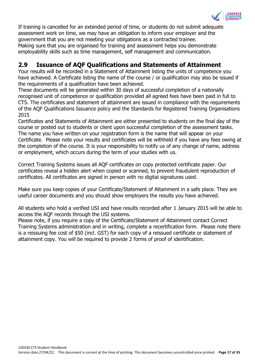

If training is cancelled for an extended period of time, or students do not submit adequate assessment work on time, we may have an obligation to inform your employer and the government that you are not meeting your obligations as a contracted trainee.

Making sure that you are organised for training and assessment helps you demonstrate employability skills such as time management, self management and communication.

## **2.9 Issuance of AQF Qualifications and Statements of Attainment**

Your results will be recorded in a Statement of Attainment listing the units of competence you have achieved. A Certificate listing the name of the course / or qualification may also be issued if the requirements of a qualification have been achieved.

These documents will be generated within 30 days of successful completion of a nationally recognised unit of competence or qualification provided all agreed fees have been paid in full to CTS. The certificates and statement of attainment are issued in compliance with the requirements of the AQF Qualifications Issuance policy and the Standards for Registered Training Organisations 2015

Certificates and Statements of Attainment are either presented to students on the final day of the course or posted out to students or client upon successful completion of the assessment tasks. The name you have written on your registration form is the name that will appear on your Certificate. Please note your results and certificates will be withheld if you have any fees owing at the completion of the course. It is your responsibility to notify us of any change of name, address or employment, which occurs during the term of your studies with us.

Correct Training Systems issues all AQF certificates on copy protected certificate paper. Our certificates reveal a hidden alert when copied or scanned, to prevent fraudulent reproduction of certificates. All certificates are signed in person with no digital signatures used.

Make sure you keep copies of your Certificate/Statement of Attainment in a safe place. They are useful career documents and you should show employers the results you have achieved.

All students who hold a verified USI and have results recorded after 1 January 2015 will be able to access the AQF records through the USI systems.

Please note, if you require a copy of the Certificate/Statement of Attainment contact Correct Training Systems administration and in writing, complete a recertification form. Please note there is a reissuing fee cost of \$50 (incl. GST) for each copy of a reissued certificate or statement of attainment copy. You will be required to provide 2 forms of proof of identification.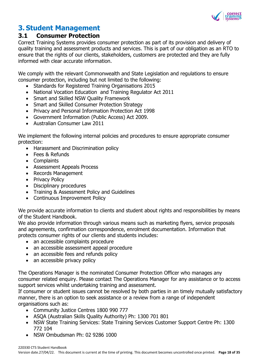

## **3. Student Management**

## **3.1 Consumer Protection**

Correct Training Systems provides consumer protection as part of its provision and delivery of quality training and assessment products and services. This is part of our obligation as an RTO to ensure that the rights of our clients, stakeholders, customers are protected and they are fully informed with clear accurate information.

We comply with the relevant Commonwealth and State Legislation and regulations to ensure consumer protection, including but not limited to the following:

- Standards for Registered Training Organisations 2015
- National Vocation Education and Training Regulator Act 2011
- Smart and Skilled NSW Quality Framework
- Smart and Skilled Consumer Protection Strategy
- Privacy and Personal Information Protection Act 1998
- Government Information (Public Access) Act 2009.
- Australian Consumer Law 2011

We implement the following internal policies and procedures to ensure appropriate consumer protection:

- Harassment and Discrimination policy
- Fees & Refunds
- Complaints
- Assessment Appeals Process
- Records Management
- Privacy Policy
- Disciplinary procedures
- Training & Assessment Policy and Guidelines
- Continuous Improvement Policy

We provide accurate information to clients and student about rights and responsibilities by means of the Student Handbook.

We also provide information through various means such as marketing flyers, service proposals and agreements, confirmation correspondence, enrolment documentation. Information that protects consumer rights of our clients and students includes:

- an accessible complaints procedure
- an accessible assessment appeal procedure
- an accessible fees and refunds policy
- an accessible privacy policy

The Operations Manager is the nominated Consumer Protection Officer who manages any consumer related enquiry. Please contact The Operations Manager for any assistance or to access support services whilst undertaking training and assessment.

If consumer or student issues cannot be resolved by both parties in an timely mutually satisfactory manner, there is an option to seek assistance or a review from a range of independent organisations such as:

- Community Justice Centres 1800 990 777
- ASQA (Australian Skills Quality Authority) Ph: 1300 701 801
- NSW State Training Services: State Training Services Customer Support Centre Ph: 1300 772 104
- NSW Ombudsman Ph: 02 9286 1000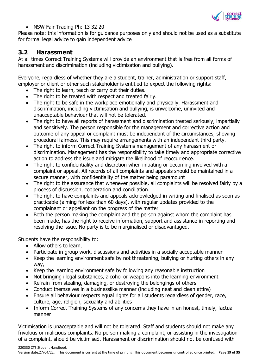

• NSW Fair Trading Ph: 13 32 20

Please note: this information is for guidance purposes only and should not be used as a substitute for formal legal advice to gain independent advice

## **3.2 Harassment**

At all times Correct Training Systems will provide an environment that is free from all forms of harassment and discrimination (including victimisation and bullying).

Everyone, regardless of whether they are a student, trainer, administration or support staff, employer or client or other such stakeholder is entitled to expect the following rights:

- The right to learn, teach or carry out their duties.
- The right to be treated with respect and treated fairly.
- The right to be safe in the workplace emotionally and physically. Harassment and discrimination, including victimisation and bullying, is unwelcome, uninvited and unacceptable behaviour that will not be tolerated.
- The right to have all reports of harassment and discrimination treated seriously, impartially and sensitively. The person responsible for the management and corrective action and outcome of any appeal or complaint must be independant of the circumstances, showing procedural fairness. This may require arrangements with an independant third party.
- The right to inform Correct Training Systems management of any harassment or discrimination. Management has the responsibility to take timely and appropriate corrective action to address the issue and mitigate the likelihood of reoccurrence.
- The right to confidentiality and discretion when initiating or becoming involved with a complaint or appeal. All records of all complaints and appeals should be maintained in a secure manner, with confidentiality of the matter being paramount
- The right to the assurance that whenever possible, all complaints will be resolved fairly by a process of discussion, cooperation and conciliation.
- The right to have complaints and appeals acknowledged in writing and finalised as soon as practicable (aiming for less than 60 days), with regular updates provided to the complainant or appellant on the progress of the matter
- Both the person making the complaint and the person against whom the complaint has been made, has the right to receive information, support and assistance in reporting and resolving the issue. No party is to be marginalised or disadvantaged.

Students have the responsibility to:

- Allow others to learn,
- Participate in group work, discussions and activities in a socially acceptable manner
- Keep the learning environment safe by not threatening, bullying or hurting others in any way,
- Keep the learning environment safe by following any reasonable instruction
- Not bringing illegal substances, alcohol or weapons into the learning environment
- Refrain from stealing, damaging, or destroying the belongings of others
- Conduct themselves in a businesslike manner (including neat and clean attire)
- Ensure all behaviour respects equal rights for all students regardless of gender, race, culture, age, religion, sexuality and abilities
- Inform Correct Training Systems of any concerns they have in an honest, timely, factual manner

Victimisation is unacceptable and will not be tolerated. Staff and students should not make any frivolous or malicious complaints. No person making a complaint, or assisting in the investigation of a complaint, should be victimised. Harassment or discrimination should not be confused with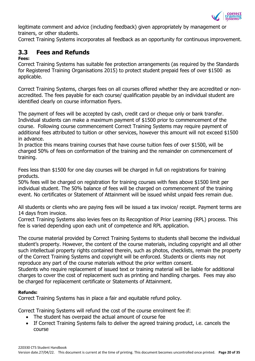

legitimate comment and advice (including feedback) given appropriately by management or trainers, or other students.

Correct Training Systems incorporates all feedback as an opportunity for continuous improvement.

## **3.3 Fees and Refunds**

#### **Fees:**

Correct Training Systems has suitable fee protection arrangements (as required by the Standards for Registered Training Organisations 2015) to protect student prepaid fees of over \$1500 as applicable.

Correct Training Systems, charges fees on all courses offered whether they are accredited or nonaccredited. The fees payable for each course/ qualification payable by an individual student are identified clearly on course information flyers.

The payment of fees will be accepted by cash, credit card or cheque only or bank transfer. Individual students can make a maximum payment of \$1500 prior to commencement of the course. Following course commencement Correct Training Systems may require payment of additional fees attributed to tuition or other services, however this amount will not exceed \$1500 in advance.

In practice this means training courses that have course tuition fees of over \$1500, will be charged 50% of fees on conformation of the training and the remainder on commencement of training.

Fees less than \$1500 for one day courses will be charged in full on registrations for training products.

50% fees will be charged on registration for training courses with fees above \$1500 limit per individual student. The 50% balance of fees will be charged on commencement of the training event. No certificates or Statement of Attainment will be issued whilst unpaid fees remain due.

All students or clients who are paying fees will be issued a tax invoice/ receipt. Payment terms are 14 days from invoice.

Correct Training Systems also levies fees on its Recognition of Prior Learning (RPL) process. This fee is varied depending upon each unit of competence and RPL application.

The course material provided by Correct Training Systems to students shall become the individual student's property. However, the content of the course materials, including copyright and all other such intellectual property rights contained therein, such as photos, checklists, remain the property of the Correct Training Systems and copyright will be enforced. Students or clients may not reproduce any part of the course materials without the prior written consent.

Students who require replacement of issued text or training material will be liable for additional charges to cover the cost of replacement such as printing and handling charges. Fees may also be charged for replacement certificate or Statements of Attainment.

#### **Refunds:**

Correct Training Systems has in place a fair and equitable refund policy.

Correct Training Systems will refund the cost of the course enrolment fee if:

- The student has overpaid the actual amount of course fee
- If Correct Training Systems fails to deliver the agreed training product, i.e. cancels the course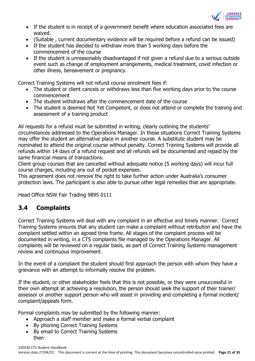

- If the student is in receipt of a government benefit where education associated fees are waived.
- (Suitable , current documentary evidence will be required before a refund can be issued)
- If the student has decided to withdraw more than 5 working days before the commencement of the course
- If the student is unreasonably disadvantaged if not given a refund due to a serious outside event such as change of employment arrangements, medical treatment, covid infection or other illness, bereavement or pregnancy.

Correct Training Systems will not refund course enrolment fees if:

- The student or client cancels or withdraws less than five working days prior to the course commencement
- The student withdraws after the commencement date of the course
- The student is deemed Not Yet Competent, or does not attend or complete the training and assessment of a training product

All requests for a refund must be submitted in writing, clearly outlining the students' circumstances addressed to the Operations Manager. In these situations Correct Training Systems may offer the student an alternative place in another course. A substitute student may be nominated to attend the original course without penalty. Correct Training Systems will provide all refunds within 14 days of a refund request and all refunds will be documented and repaid by the same financial means of transactions.

Client group courses that are cancelled without adequate notice (5 working days) will incur full course charges, including any out of pocket expenses.

This agreement does not remove the right to take further action under Australia's consumer protection laws. The participant is also able to pursue other legal remedies that are appropriate.

Head Office NSW Fair Trading 9895 0111

## **3.4 Complaints**

Correct Training Systems will deal with any complaint in an effective and timely manner. Correct Training Systems ensures that any student can make a complaint without retribution and have the complaint settled within an agreed time frame. All stages of the complaint process will be documented in writing, in a CTS complaints file managed by the Operations Manager. All complaints will be reviewed on a regular basis, as part of Correct Training Systems management review and continuous improvement.

In the event of a complaint the student should first approach the person with whom they have a grievance with an attempt to informally resolve the problem.

If the student, or other stakeholder feels that this is not possible, or they were unsuccessful in their own attempt at achieving a resolution, the person should seek the support of their trainer/ assessor or another support person who will assist in providing and completing a formal incident/ complaint/appeals form.

Formal complaints may be submitted by the following manner:

- Approach a staff member and make a formal verbal complaint
- By phoning Correct Training Systems
- By email to Correct Training Systems then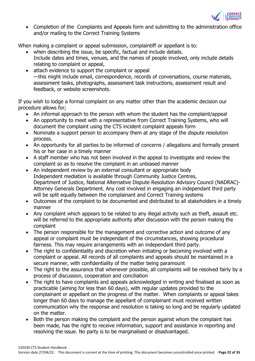

• Completion of the Complaints and Appeals form and submitting to the administration office and/or mailing to the Correct Training Systems

When making a complaint or appeal submission, complaintiff or appellant is to:

- when describing the issue, be specific, factual and include details. Include dates and times, venues, and the names of people involved, only include details relating to complaint or appeal,
- attach evidence to support the complaint or appeal —this might include email, correspondence, records of conversations, course materials, assessment tasks, photographs, assessment task instructions, assessment result and feedback, or website screenshots.

If you wish to lodge a formal complaint on any matter other than the academic decision our procedure allows for;

- An informal approach to the person with whom the student has the complaint/appeal
- An opportunity to meet with a representative from Correct Training Systems, who will document the complaint using the CTS incident complaint appeals form
- Nominate a support person to accompany them at any stage of the dispute resolution process.
- An opportunity for all parties to be informed of concerns / allegations and formally present his or her case in a timely manner
- A staff member who has not been involved in the appeal to investigate and review the complaint so as to resolve the complaint in an unbiased manner
- An independent review by an external consultant or appropriate body Independent mediation is available through Community Justice Centres, Department of Justice, National Alternative Dispute Resolution Advisory Council (NADRAC)- Attorney Generals Department. Any cost involved in engaging an independant third party will be split equally between the complainant and Correct Training systems
- Outcomes of the complaint to be documented and distributed to all stakeholders in a timely manner
- Any complaint which appears to be related to any illegal activity such as theft, assault etc. will be referred to the appropriate authority after discussion with the person making the complaint
- The person responsible for the management and corrective action and outcome of any appeal or complaint must be independant of the circumstances, showing procedural fairness. This may require arrangements with an independant third party.
- The right to confidentiality and discretion when initiating or becoming involved with a complaint or appeal. All records of all complaints and appeals should be maintained in a secure manner, with confidentiality of the matter being paramount
- The right to the assurance that whenever possible, all complaints will be resolved fairly by a process of discussion, cooperation and conciliation
- The right to have complaints and appeals acknowledged in writing and finalised as soon as practicable (aiming for less than 60 days), with regular updates provided to the complainant or appellant on the progress of the matter. When complaints or appeal takes longer than 60 days to manage the appellant of complainant must received written communication why the response and resolution is taking so long and be regularly updated on the matter.
- Both the person making the complaint and the person against whom the complaint has been made, has the right to receive information, support and assistance in reporting and resolving the issue. No party is to be marginalised or disadvantaged.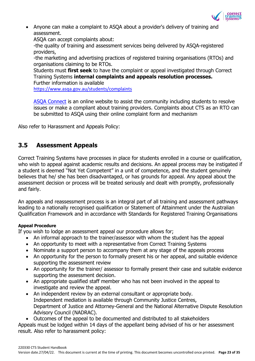

• Anyone can make a complaint to ASQA about a provider's delivery of training and assessment.

ASQA can accept complaints about:

-the quality of training and assessment services being delivered by ASQA-registered providers,

-the marketing and advertising practices of registered training organisations (RTOs) and organisations claiming to be RTOs.

Students must **first seek** to have the complaint or appeal investigated through Correct Training Systems **internal complaints and appeals resolution processes.** Further information is available

<https://www.asqa.gov.au/students/complaints>

[ASQA Connect](https://asqaconnect.asqa.gov.au/) is an online website to assist the community including students to resolve issues or make a compliant about training providers. Complaints about CTS as an RTO can be submitted to ASQA using their online complaint form and mechanism

Also refer to Harassment and Appeals Policy:

## **3.5 Assessment Appeals**

Correct Training Systems have processes in place for students enrolled in a course or qualification, who wish to appeal against academic results and decisions. An appeal process may be instigated if a student is deemed "Not Yet Competent" in a unit of competence, and the student genuinely believes that he/ she has been disadvantaged, or has grounds for appeal. Any appeal about the assessment decision or process will be treated seriously and dealt with promptly, professionally and fairly.

An appeals and reassessment process is an integral part of all training and assessment pathways leading to a nationally recognised qualification or Statement of Attainment under the Australian Qualification Framework and in accordance with Standards for Registered Training Organisations

#### **Appeal Procedure**

If you wish to lodge an assessment appeal our procedure allows for;

- An informal approach to the trainer/assessor with whom the student has the appeal
- An opportunity to meet with a representative from Correct Training Systems
- Nominate a support person to accompany them at any stage of the appeals process
- An opportunity for the person to formally present his or her appeal, and suitable evidence supporting the assessment review
- An opportunity for the trainer/ assessor to formally present their case and suitable evidence supporting the assessment decision.
- An appropriate qualified staff member who has not been involved in the appeal to investigate and review the appeal.
- An independent review by an external consultant or appropriate body. Independent mediation is available through Community Justice Centres, Department of Justice and Attorney-General and the National Alternative Dispute Resolution Advisory Council (NADRAC).

• Outcomes of the appeal to be documented and distributed to all stakeholders Appeals must be lodged within 14 days of the appellant being advised of his or her assessment result. Also refer to harassment policy: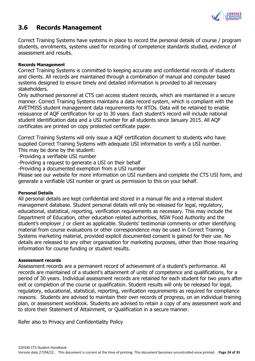

## **3.6 Records Management**

Correct Training Systems have systems in place to record the personal details of course / program students, enrolments, systems used for recording of competence standards studied, evidence of assessment and results.

#### **Records Management**

Correct Training Systems is committed to keeping accurate and confidential records of students and clients. All records are maintained through a combination of manual and computer based systems designed to ensure timely and detailed information is provided to all necessary stakeholders.

Only authorised personnel at CTS can access student records, which are maintained in a secure manner. Correct Training Systems maintains a data record system, which is compliant with the AVETMISS student management data requirements for RTOs. Data will be retained to enable reissuance of AQF certification for up to 30 years. Each student's record will include national student identification data and a USI number for all students since January 2015. All AQF certificates are printed on copy protected certificate paper.

Correct Training Systems will only issue a AQF certification document to students who have supplied Correct Training Systems with adequate USI information to verify a USI number. This may be done by the student:

-Providing a verifiable USI number

-Providing a request to generate a USI on their behalf

-Providing a documented exemption from a USI number

Please see our website for more information on USI numbers and complete the CTS USI form, and generate a verifiable USI number or grant us permission to this on your behalf.

#### **Personal Details**

All personal details are kept confidential and stored in a manual file and a internal student management database. Student personal details will only be released for legal, regulatory, educational, statistical, reporting, verification requirements as necessary. This may include the Department of Education, other education related authorities, NSW Food Authority and the student's employer / or client as applicable. Students' testimonial comments or other identifying material from course evaluations or other correspondence may be used in Correct Training Systems marketing material, provided explicit documented consent is gained for their use. No details are released to any other organisation for marketing purposes, other than those requiring information for course funding or student results.

#### **Assessment records**

Assessment records are a permanent record of achievement of a student's performance. All records are maintained of a student's attainment of units of competence and qualifications, for a period of 30 years. Individual assessment records are retained for each student for two years after exit or completion of the course or qualification. Student results will only be released for legal, regulatory, educational, statistical, reporting, verification requirements as required for compliance reasons. Students are advised to maintain their own records of progress, on an individual training plan, or assessment workbook. Students are advised to retain a copy of any assessment work and to store their Statement of Attainment, or Qualification in a secure manner.

Refer also to Privacy and Confidentiality Policy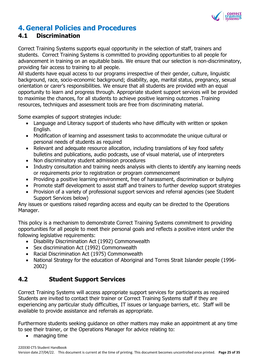

## **4. General Policies and Procedures**

## **4.1 Discrimination**

Correct Training Systems supports equal opportunity in the selection of staff, trainers and students. Correct Training Systems is committed to providing opportunities to all people for advancement in training on an equitable basis. We ensure that our selection is non-discriminatory, providing fair access to training to all people.

All students have equal access to our programs irrespective of their gender, culture, linguistic background, race, socio-economic background; disability, age, marital status, pregnancy, sexual orientation or carer's responsibilities. We ensure that all students are provided with an equal opportunity to learn and progress through. Appropriate student support services will be provided to maximise the chances, for all students to achieve positive learning outcomes .Training resources, techniques and assessment tools are free from discriminating material.

Some examples of support strategies include:

- Language and Literacy support of students who have difficulty with written or spoken English.
- Modification of learning and assessment tasks to accommodate the unique cultural or personal needs of students as required
- Relevant and adequate resource allocation, including translations of key food safety bulletins and publications, audio podcasts, use of visual material, use of interpreters
- Non discriminatory student admission procedures
- Industry consultation and training needs analysis with clients to identify any learning needs or requirements prior to registration or program commencement
- Providing a positive learning environment, free of harassment, discrimination or bullying
- Promote staff development to assist staff and trainers to further develop support strategies
- Provision of a variety of professional support services and referral agencies (see Student Support Services below)

Any issues or questions raised regarding access and equity can be directed to the Operations Manager.

This policy is a mechanism to demonstrate Correct Training Systems commitment to providing opportunities for all people to meet their personal goals and reflects a positive intent under the following legislative requirements:

- Disability Discrimination Act (1992) Commonwealth
- Sex discrimination Act (1992) Commonwealth
- Racial Discrimination Act (1975) Commonwealth
- National Strategy for the education of Aboriginal and Torres Strait Islander people (1996- 2002)

## **4.2 Student Support Services**

Correct Training Systems will access appropriate support services for participants as required Students are invited to contact their trainer or Correct Training Systems staff if they are experiencing any particular study difficulties, IT issues or language barriers, etc. Staff will be available to provide assistance and referrals as appropriate.

Furthermore students seeking guidance on other matters may make an appointment at any time to see their trainer, or the Operations Manager for advice relating to:

• managing time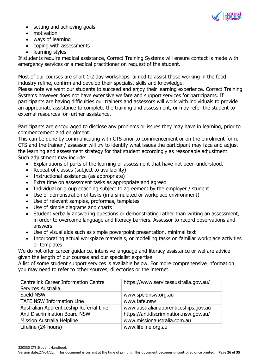

- setting and achieving goals
- motivation
- ways of learning
- coping with assessments
- learning styles

If students require medical assistance, Correct Training Systems will ensure contact is made with emergency services or a medical practitioner on request of the student.

Most of our courses are short 1-2 day workshops, aimed to assist those working in the food industry refine, confirm and develop their specialist skills and knowledge.

Please note we want our students to succeed and enjoy their learning experience. Correct Training Systems however does not have extensive welfare and support services for participants. If participants are having difficulties our trainers and assessors will work with individuals to provide an appropriate assistance to complete the training and assessment, or may refer the student to external resources for further assistance.

Participants are encouraged to disclose any problems or issues they may have in learning, prior to commencement and enrolment.

This can be done by communicating with CTS prior to commencement or on the enrolment form. CTS and the trainer / assessor will try to identify what issues the participant may face and adjust the learning and assessment strategy for that student accordingly as reasonable adjustment. Such adjustment may include:

- Explanations of parts of the learning or assessment that have not been understood.
- Repeat of classes (subject to availability)
- Instructional assistance (as appropriate)
- Extra time on assessment tasks as appropriate and agreed
- Individual or group coaching subject to agreement by the employer / student
- Use of demonstration of tasks (in a simulated or workplace environment)
- Use of relevant samples, proformas, templates
- Use of simple diagrams and charts
- Student verbally answering questions or demonstrating rather than writing an assessment, in order to overcome language and literacy barriers. Assessor to record observations and answers
- Use of visual aids such as simple powerpoint presentation, minimal text
- Incorporating actual workplace materials, or modelling tasks on familiar workplace activities or templates

We do not offer career guidance, intensive language and literacy assistance or welfare advice given the length of our courses and our specialist expertise.

A list of some student support services is available below. For more comprehensive information you may need to refer to other sources, directories or the internet.

| <b>Centrelink Career Information Centre</b><br>Services Australia | https://www.servicesaustralia.gov.au/  |
|-------------------------------------------------------------------|----------------------------------------|
| Speld NSW                                                         | www.speldnsw.org.au                    |
| <b>TAFE NSW Information Line</b>                                  | www.tafe.nsw                           |
| Australian Apprenticeship Referral Line                           | www.australianapprenticeships.gov.au   |
| Anti Discrimination Board NSW                                     | https://antidiscrimination.nsw.gov.au/ |
| Mission Australia Helpline                                        | www.missionaustralia.com.au            |
| Lifeline (24 hours)                                               | www.lifeline.org.au                    |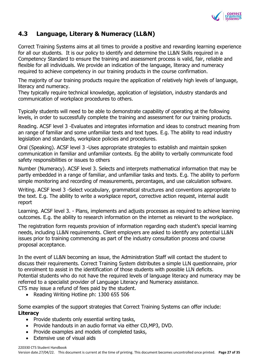

## **4.3 Language, Literary & Numeracy (LL&N)**

Correct Training Systems aims at all times to provide a positive and rewarding learning experience for all our students. It is our policy to identify and determine the LL&N Skills required in a Competency Standard to ensure the training and assessment process is valid, fair, reliable and flexible for all individuals. We provide an indication of the language, literacy and numeracy required to achieve competency in our training products in the course confirmation.

The majority of our training products require the application of relatively high levels of language, literacy and numeracy.

They typically require technical knowledge, application of legislation, industry standards and communication of workplace procedures to others.

Typically students will need to be able to demonstrate capability of operating at the following levels, in order to successfully complete the training and assessment for our training products.

Reading. ACSF level 3 -Evaluates and integrates information and ideas to construct meaning from an range of familiar and some unfamiliar texts and text types. E.g. The ability to read industry legislation and standards, workplace policies and procedures.

Oral (Speaking). ACSF level 3 -Uses appropriate strategies to establish and maintain spoken communication in familiar and unfamiliar contexts. Eg the ability to verbally communicate food safety responsibilities or issues to others

Number (Numeracy). ACSF level 3. Selects and interprets mathematical information that may be partly embedded in a range of familiar, and unfamiliar tasks and texts. E.g. The ability to perform simple monitoring and recording of measurements, percentages, and use calculation software.

Writing. ACSF level 3 -Select vocabulary, grammatical structures and conventions appropriate to the text. E.g. The ability to write a workplace report, corrective action request, internal audit report

Learning. ACSF level 3. - Plans, implements and adjusts processes as required to achieve learning outcomes. E.g. the ability to research information on the internet as relevant to the workplace.

The registration form requests provision of information regarding each student's special learning needs, including LL&N requirements. Client employers are asked to identify any potential LL&N issues prior to training commencing as part of the industry consultation process and course proposal acceptance.

In the event of LL&N becoming an issue, the Administration Staff will contact the student to discuss their requirements. Correct Training System distributes a simple LLN questionnaire, prior to enrolment to assist in the identification of those students with possible LLN deficits. Potential students who do not have the required levels of language literacy and numeracy may be referred to a specialist provider of Language Literacy and Numeracy assistance. CTS may issue a refund of fees paid by the student.

• Reading Writing Hotline ph: 1300 655 506

Some examples of the support strategies that Correct Training Systems can offer include: **Literacy**

- Provide students only essential writing tasks,
- Provide handouts in an audio format via either CD,MP3, DVD.
- Provide examples and models of completed tasks,
- Extensive use of visual aids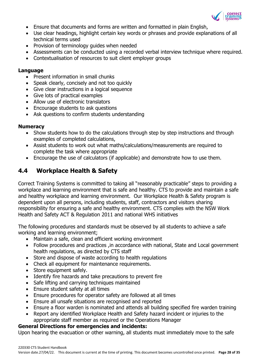

- Ensure that documents and forms are written and formatted in plain English,
- Use clear headings, highlight certain key words or phrases and provide explanations of all technical terms used
- Provision of terminology guides when needed
- Assessments can be conducted using a recorded verbal interview technique where required.
- Contextualisation of resources to suit client employer groups

#### **Language**

- Present information in small chunks
- Speak clearly, concisely and not too quickly
- Give clear instructions in a logical sequence
- Give lots of practical examples
- Allow use of electronic translators
- Encourage students to ask questions
- Ask questions to confirm students understanding

#### **Numeracy**

- Show students how to do the calculations through step by step instructions and through examples of completed calculations,
- Assist students to work out what maths/calculations/measurements are required to complete the task where appropriate
- Encourage the use of calculators (if applicable) and demonstrate how to use them.

## **4.4 Workplace Health & Safety**

Correct Training Systems is committed to taking all "reasonably practicable" steps to providing a workplace and learning environment that is safe and healthy. CTS to provide and maintain a safe and healthy workplace and learning environment. Our Workplace Health & Safety program is dependent upon all persons, including students, staff, contractors and visitors sharing responsibility for ensuring a safe and healthy environment. CTS complies with the NSW Work Health and Safety ACT & Regulation 2011 and national WHS initiatives

The following procedures and standards must be observed by all students to achieve a safe working and learning environment;

- Maintain a safe, clean and efficient working environment
- Follow procedures and practices ,in accordance with national, State and Local government health regulations, as directed by CTS staff
- Store and dispose of waste according to health regulations
- Check all equipment for maintenance requirements.
- Store equipment safely.
- Identify fire hazards and take precautions to prevent fire
- Safe lifting and carrying techniques maintained
- Ensure student safety at all times
- Ensure procedures for operator safety are followed at all times
- Ensure all unsafe situations are recognised and reported
- Ensure a floor warden is nominated and attends all building specified fire warden training
- Report any identified Workplace Health and Safety hazard incident or injuries to the appropriate staff member as required or the Operations Manager

#### **General Directions for emergencies and incidents:**

Upon hearing the evacuation or other warning, all students must immediately move to the safe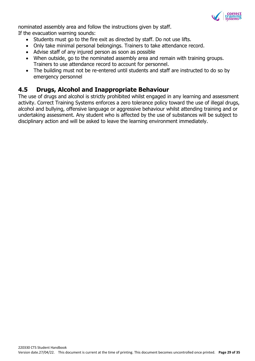

nominated assembly area and follow the instructions given by staff.

If the evacuation warning sounds:

- Students must go to the fire exit as directed by staff. Do not use lifts.
- Only take minimal personal belongings. Trainers to take attendance record.
- Advise staff of any injured person as soon as possible
- When outside, go to the nominated assembly area and remain with training groups. Trainers to use attendance record to account for personnel.
- The building must not be re-entered until students and staff are instructed to do so by emergency personnel

## **4.5 Drugs, Alcohol and Inappropriate Behaviour**

The use of drugs and alcohol is strictly prohibited whilst engaged in any learning and assessment activity. Correct Training Systems enforces a zero tolerance policy toward the use of illegal drugs, alcohol and bullying, offensive language or aggressive behaviour whilst attending training and or undertaking assessment. Any student who is affected by the use of substances will be subject to disciplinary action and will be asked to leave the learning environment immediately.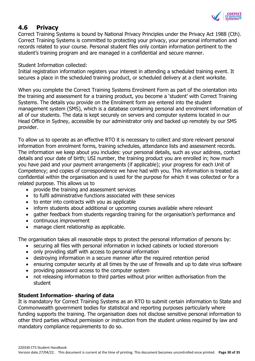

## **4.6 Privacy**

Correct Training Systems is bound by National Privacy Principles under the Privacy Act 1988 (Cth). Correct Training Systems is committed to protecting your privacy, your personal information and records related to your course. Personal student files only contain information pertinent to the student's training program and are managed in a confidential and secure manner.

#### Student Information collected:

Initial registration information registers your interest in attending a scheduled training event. It secures a place in the scheduled training product, or scheduled delivery at a client worksite.

When you complete the Correct Training Systems Enrolment Form as part of the orientation into the training and assessment for a training product, you become a 'student' with Correct Training Systems. The details you provide on the Enrolment form are entered into the student management system (SMS), which is a database containing personal and enrolment information of all of our students. The data is kept securely on servers and computer systems located in our Head Office in Sydney, accessible by our administrator only and backed up remotely by our SMS provider.

To allow us to operate as an effective RTO it is necessary to collect and store relevant personal information from enrolment forms, training schedules, attendance lists and assessment records. The information we keep about you includes: your personal details, such as your address, contact details and your date of birth; USI number, the training product you are enrolled in; how much you have paid and your payment arrangements (if applicable); your progress for each Unit of Competency; and copies of correspondence we have had with you. This information is treated as confidential within the organisation and is used for the purpose for which it was collected or for a related purpose. This allows us to

- provide the training and assessment services
- to fulfil administrative functions associated with these services
- to enter into contracts with you as applicable
- inform students about additional or upcoming courses available where relevant
- gather feedback from students regarding training for the organisation's performance and
- continuous improvement
- manage client relationship as applicable.

The organisation takes all reasonable steps to protect the personal information of persons by:

- securing all files with personal information in locked cabinets or locked storeroom
- only providing staff with access to personal information
- destroying information in a secure manner after the required retention period
- ensuring computer security at all times by the use of firewalls and up to date virus software
- providing password access to the computer system
- not releasing information to third parties without prior written authorisation from the student

#### **Student Information- sharing of data**

It is mandatory for Correct Training Systems as an RTO to submit certain information to State and Commonwealth government bodies for statistical and reporting purposes particularly where funding supports the training. The organisation does not disclose sensitive personal information to other third parties without permission or instruction from the student unless required by law and mandatory compliance requirements to do so.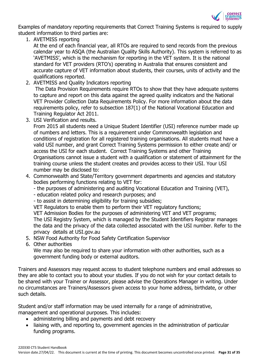

Examples of mandatory reporting requirements that Correct Training Systems is required to supply student information to third parties are:

1. AVETMISS reporting

At the end of each financial year, all RTOs are required to send records from the previous calendar year to ASQA (the Australian Quality Skills Authority). This system is referred to as 'AVETMISS', which is the mechanism for reporting in the VET system. It is the national standard for VET providers (RTO's) operating in Australia that ensures consistent and accurate capture of VET information about students, their courses, units of activity and the qualifications reported.

2. AVETMISS and Quality Indicators reporting

The Data Provision Requirements require RTOs to show that they have adequate systems to capture and report on this data against the agreed quality indicators and the National VET Provider Collection Data Requirements Policy. For more information about the data requirements policy, refer to subsection 187(1) of the National Vocational Education and Training Regulator Act 2011.

3. USI Verification and results.

From 2015 all students need a Unique Student Identifier (USI) reference number made up of numbers and letters. This is a requirement under Commonwealth legislation and conditions of registration for all registered training organisations. All students must have a valid USI number, and grant Correct Training Systems permission to either create and/ or access the USI for each student. Correct Training Systems and other Training Organisations cannot issue a student with a qualification or statement of attainment for the training course unless the student creates and provides access to their USI. Your USI number may be disclosed to:

- 4. Commonwealth and State/Territory government departments and agencies and statutory bodies performing functions relating to VET for:
	- the purposes of administering and auditing Vocational Education and Training (VET),
	- education related policy and research purposes; and
	- to assist in determining eligibility for training subsidies;

VET Regulators to enable them to perform their VET regulatory functions;

VET Admission Bodies for the purposes of administering VET and VET programs; The USI Registry System, which is managed by the Student Identifiers Registrar manages the data and the privacy of the data collected associated with the USI number. Refer to the privacy details at USI.gov.au

- 5. NSW Food Authority for Food Safety Certification Supervisor
- 6. Other authorities

We may also be required to share your information with other authorities, such as a government funding body or external auditors.

Trainers and Assessors may request access to student telephone numbers and email addresses so they are able to contact you to about your studies. If you do not wish for your contact details to be shared with your Trainer or Assessor, please advise the Operations Manager in writing. Under no circumstances are Trainers/Assessors given access to your home address, birthdate, or other such details.

Student and/or staff information may be used internally for a range of administrative, management and operational purposes. This includes:

- administering billing and payments and debt recovery
- liaising with, and reporting to, government agencies in the administration of particular funding programs.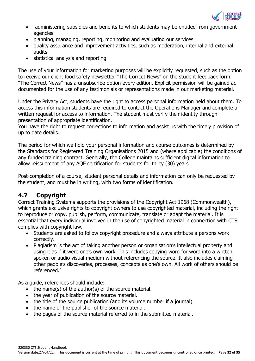

- administering subsidies and benefits to which students may be entitled from government agencies
- planning, managing, reporting, monitoring and evaluating our services
- quality assurance and improvement activities, such as moderation, internal and external audits
- statistical analysis and reporting

The use of your information for marketing purposes will be explicitly requested, such as the option to receive our client food safety newsletter "The Correct News" on the student feedback form. "The Correct News" has a unsubscribe option every edition. Explicit permission will be gained ad documented for the use of any testimonials or representations made in our marketing material.

Under the Privacy Act, students have the right to access personal information held about them. To access this information students are required to contact the Operations Manager and complete a written request for access to information. The student must verify their identity through presentation of appropriate identification.

You have the right to request corrections to information and assist us with the timely provision of up to date details.

The period for which we hold your personal information and course outcomes is determined by the Standards for Registered Training Organisations 2015 and (where applicable) the conditions of any funded training contract. Generally, the College maintains sufficient digital information to allow reissuement of any AQF certification for students for thirty (30) years.

Post-completion of a course, student personal details and information can only be requested by the student, and must be in writing, with two forms of identification.

## **4.7 Copyright**

Correct Training Systems supports the provisions of the Copyright Act 1968 (Commonwealth), which grants exclusive rights to copyright owners to use copyrighted material, including the right to reproduce or copy, publish, perform, communicate, translate or adapt the material. It is essential that every individual involved in the use of copyrighted material in connection with CTS complies with copyright law.

- Students are asked to follow copyright procedure and always attribute a persons work correctly.
- Plagiarism is the act of taking another person or organisation's intellectual property and using it as if it were one's own work. This includes copying word for word into a written, spoken or audio visual medium without referencing the source. It also includes claiming other people's discoveries, processes, concepts as one's own. All work of others should be referenced.'

As a guide, references should include:

- the name(s) of the author(s) of the source material.
- the year of publication of the source material.
- the title of the source publication (and its volume number if a journal).
- the name of the publisher of the source material.
- the pages of the source material referred to in the submitted material.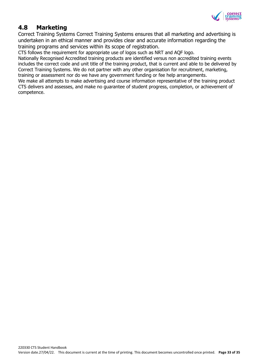

## **4.8 Marketing**

Correct Training Systems Correct Training Systems ensures that all marketing and advertising is undertaken in an ethical manner and provides clear and accurate information regarding the training programs and services within its scope of registration.

CTS follows the requirement for appropriate use of logos such as NRT and AQF logo.

Nationally Recognised Accredited training products are identified versus non accredited training events includes the correct code and unit title of the training product, that is current and able to be delivered by Correct Training Systems. We do not partner with any other organisation for recruitment, marketing, training or assessment nor do we have any government funding or fee help arrangements.

We make all attempts to make advertising and course information representative of the training product CTS delivers and assesses, and make no guarantee of student progress, completion, or achievement of competence.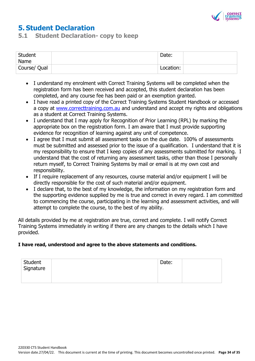

## **5. Student Declaration**

**5.1 Student Declaration- copy to keep**

| Student<br>Name | Date:     |  |
|-----------------|-----------|--|
| Course/ Qual    | Location: |  |

- I understand my enrolment with Correct Training Systems will be completed when the registration form has been received and accepted, this student declaration has been completed, and any course fee has been paid or an exemption granted.
- I have read a printed copy of the Correct Training Systems Student Handbook or accessed a copy at [www](http://www.learninglab.com.au/).correcttraining.com.au and understand and accept my rights and obligations as a student at Correct Training Systems.
- I understand that I may apply for Recognition of Prior Learning (RPL) by marking the appropriate box on the registration form. I am aware that I must provide supporting evidence for recognition of learning against any unit of competence.
- I agree that I must submit all assessment tasks on the due date. 100% of assessments must be submitted and assessed prior to the issue of a qualification. I understand that it is my responsibility to ensure that I keep copies of any assessments submitted for marking. I understand that the cost of returning any assessment tasks, other than those I personally return myself, to Correct Training Systems by mail or email is at my own cost and responsibility.
- If I require replacement of any resources, course material and/or equipment I will be directly responsible for the cost of such material and/or equipment.
- I declare that, to the best of my knowledge, the information on my registration form and the supporting evidence supplied by me is true and correct in every regard. I am committed to commencing the course, participating in the learning and assessment activities, and will attempt to complete the course, to the best of my ability.

All details provided by me at registration are true, correct and complete. I will notify Correct Training Systems immediately in writing if there are any changes to the details which I have provided.

#### **I have read, understood and agree to the above statements and conditions.**

| Student   | Date: |  |
|-----------|-------|--|
| Signature |       |  |
|           |       |  |